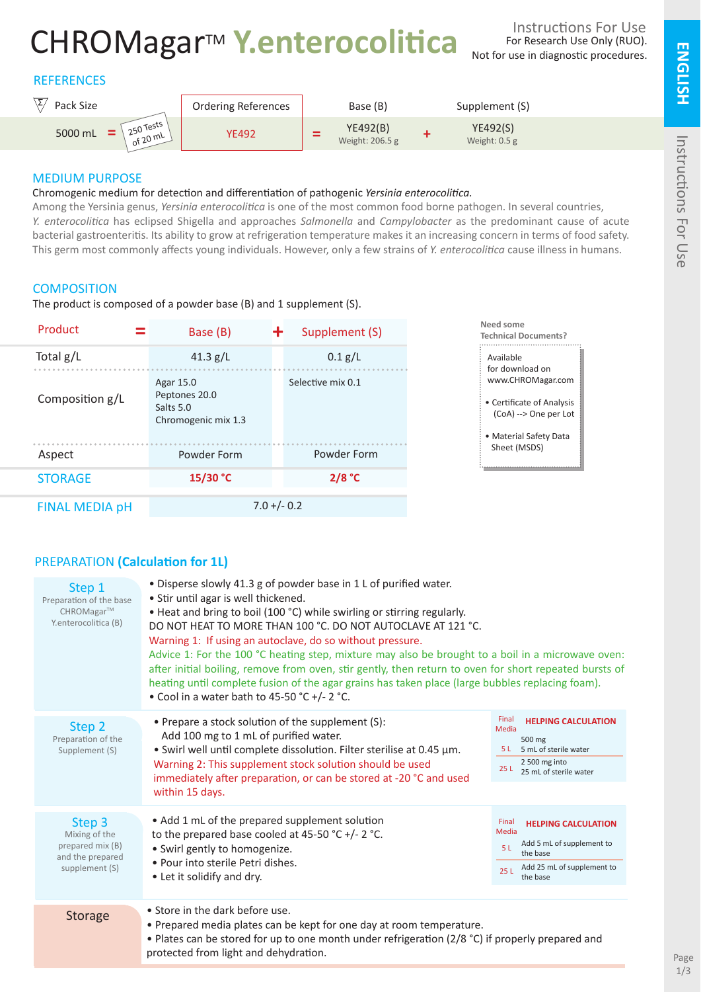# CHROMagarTM **Y.enterocolitica**

# **REFERENCES**



# MEDIUM PURPOSE

### Chromogenic medium for detection and differentiation of pathogenic *Yersinia enterocolitica.*

Among the Yersinia genus, *Yersinia enterocolitica* is one of the most common food borne pathogen. In several countries, *Y. enterocolitica* has eclipsed Shigella and approaches *Salmonella* and *Campylobacter* as the predominant cause of acute bacterial gastroenteritis. Its ability to grow at refrigeration temperature makes it an increasing concern in terms of food safety. This germ most commonly affects young individuals. However, only a few strains of *Y. enterocolitica* cause illness in humans.

# **COMPOSITION**

The product is composed of a powder base (B) and 1 supplement (S).



# PREPARATION **(Calculation for 1L)**

| Step 1<br>Preparation of the base<br>CHROMagar™<br>Y.enterocolitica (B)           | • Disperse slowly 41.3 g of powder base in 1 L of purified water.<br>• Stir until agar is well thickened.<br>• Heat and bring to boil (100 °C) while swirling or stirring regularly.<br>DO NOT HEAT TO MORE THAN 100 °C. DO NOT AUTOCLAVE AT 121 °C.<br>Warning 1: If using an autoclave, do so without pressure.<br>Advice 1: For the 100 °C heating step, mixture may also be brought to a boil in a microwave oven:<br>after initial boiling, remove from oven, stir gently, then return to oven for short repeated bursts of<br>heating until complete fusion of the agar grains has taken place (large bubbles replacing foam).<br>• Cool in a water bath to 45-50 °C +/- 2 °C. |                                                                                                                                               |
|-----------------------------------------------------------------------------------|--------------------------------------------------------------------------------------------------------------------------------------------------------------------------------------------------------------------------------------------------------------------------------------------------------------------------------------------------------------------------------------------------------------------------------------------------------------------------------------------------------------------------------------------------------------------------------------------------------------------------------------------------------------------------------------|-----------------------------------------------------------------------------------------------------------------------------------------------|
| Step 2<br>Preparation of the<br>Supplement (S)                                    | • Prepare a stock solution of the supplement (S):<br>Add 100 mg to 1 mL of purified water.<br>• Swirl well until complete dissolution. Filter sterilise at 0.45 µm.<br>Warning 2: This supplement stock solution should be used<br>immediately after preparation, or can be stored at -20 °C and used<br>within 15 days.                                                                                                                                                                                                                                                                                                                                                             | Final<br><b>HELPING CALCULATION</b><br>Media<br>500 mg<br>5 L 5 mL of sterile water<br>2 500 mg into<br>25 L 25 mL of sterile water           |
| Step 3<br>Mixing of the<br>prepared mix (B)<br>and the prepared<br>supplement (S) | • Add 1 mL of the prepared supplement solution<br>to the prepared base cooled at 45-50 °C +/- 2 °C.<br>• Swirl gently to homogenize.<br>• Pour into sterile Petri dishes.<br>• Let it solidify and dry.                                                                                                                                                                                                                                                                                                                                                                                                                                                                              | Final<br><b>HELPING CALCULATION</b><br>Media<br>Add 5 mL of supplement to<br>5 L<br>the base<br>Add 25 mL of supplement to<br>251<br>the base |
| <b>Storage</b>                                                                    | • Store in the dark before use.<br>• Prepared media plates can be kept for one day at room temperature.<br>• Plates can be stored for up to one month under refrigeration (2/8 °C) if properly prepared and<br>protected from light and dehydration.                                                                                                                                                                                                                                                                                                                                                                                                                                 |                                                                                                                                               |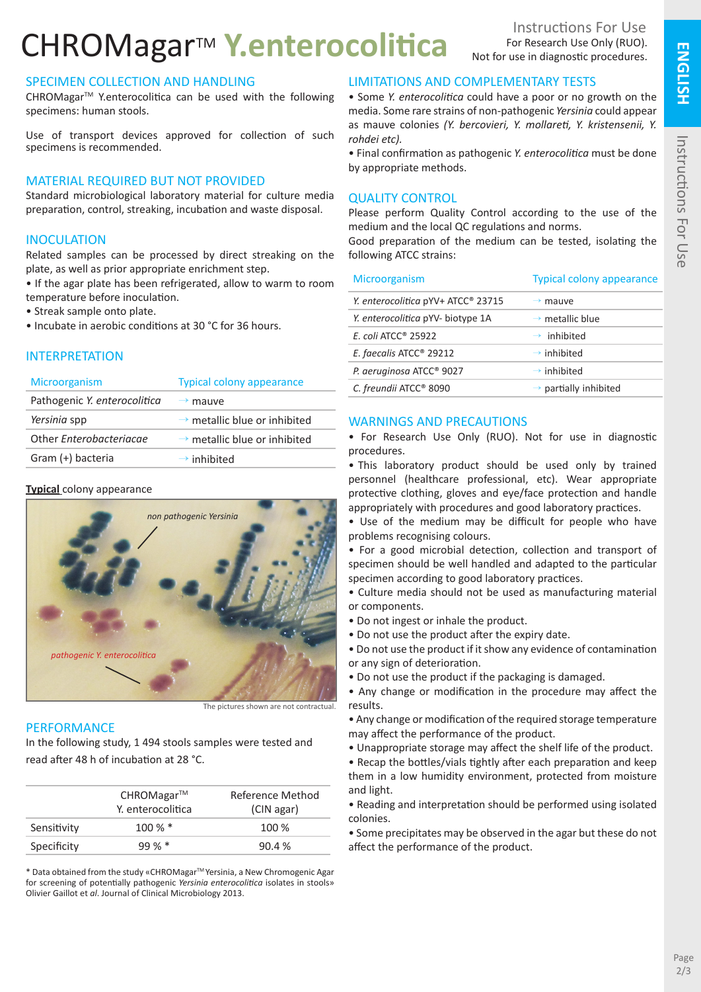# CHROMagarTM **Y.enterocolitica**

# SPECIMEN COLLECTION AND HANDLING

CHROMagar<sup>™</sup> Y.enterocolitica can be used with the following specimens: human stools.

Use of transport devices approved for collection of such specimens is recommended.

### MATERIAL REQUIRED BUT NOT PROVIDED

Standard microbiological laboratory material for culture media preparation, control, streaking, incubation and waste disposal.

#### **INOCULATION**

Related samples can be processed by direct streaking on the plate, as well as prior appropriate enrichment step.

• If the agar plate has been refrigerated, allow to warm to room temperature before inoculation.

- Streak sample onto plate.
- Incubate in aerobic conditions at 30 °C for 36 hours.

#### INTERPRETATION

| <b>Microorganism</b>         | <b>Typical colony appearance</b>         |
|------------------------------|------------------------------------------|
| Pathogenic Y. enterocolitica | $\rightarrow$ mauve                      |
| Yersinia spp                 | $\rightarrow$ metallic blue or inhibited |
| Other Enterobacteriacae      | $\rightarrow$ metallic blue or inhibited |
| Gram (+) bacteria            | $\rightarrow$ inhibited                  |

#### **Typical** colony appearance



The pictures shown are not contractual.

#### **PERFORMANCE**

In the following study, 1 494 stools samples were tested and read after 48 h of incubation at 28 °C.

|             | $CHROMagar^{TM}$  | Reference Method |
|-------------|-------------------|------------------|
|             | Y. enterocolitica | (CIN agar)       |
| Sensitivity | $100\%$ *         | 100 %            |
| Specificity | $99 \%$ *         | 90.4%            |

\* Data obtained from the study «CHROMagarTM Yersinia, a New Chromogenic Agar for screening of potentially pathogenic *Yersinia enterocolitica* isolates in stools» Olivier Gaillot et *al*. Journal of Clinical Microbiology 2013.

### LIMITATIONS AND COMPLEMENTARY TESTS

• Some *Y. enterocolitica* could have a poor or no growth on the media. Some rare strains of non-pathogenic *Yersinia* could appear as mauve colonies *(Y. bercovieri, Y. mollareti, Y. kristensenii, Y. rohdei etc).* 

• Final confirmation as pathogenic *Y. enterocolitica* must be done by appropriate methods.

#### QUALITY CONTROL

Please perform Quality Control according to the use of the medium and the local QC regulations and norms.

Good preparation of the medium can be tested, isolating the following ATCC strains:

Microorganism Typical colony appearance

| Y. enterocolitica pYV+ ATCC® 23715  | $\rightarrow$ mauve               |
|-------------------------------------|-----------------------------------|
| Y. enterocolitica pYV- biotype 1A   | $\rightarrow$ metallic blue       |
| $E.$ coli ATCC <sup>®</sup> 25922   | $\rightarrow$ inhibited           |
| E. faecalis ATCC <sup>®</sup> 29212 | $\rightarrow$ inhibited           |
| P. aeruginosa ATCC® 9027            | $\rightarrow$ inhibited           |
| C. freundii ATCC® 8090              | $\rightarrow$ partially inhibited |
|                                     |                                   |

#### WARNINGS AND PRECAUTIONS

• For Research Use Only (RUO). Not for use in diagnostic procedures.

• This laboratory product should be used only by trained personnel (healthcare professional, etc). Wear appropriate protective clothing, gloves and eye/face protection and handle appropriately with procedures and good laboratory practices.

• Use of the medium may be difficult for people who have problems recognising colours.

• For a good microbial detection, collection and transport of specimen should be well handled and adapted to the particular specimen according to good laboratory practices.

• Culture media should not be used as manufacturing material or components.

- Do not ingest or inhale the product.
- Do not use the product after the expiry date.

• Do not use the product if it show any evidence of contamination or any sign of deterioration.

• Do not use the product if the packaging is damaged.

• Any change or modification in the procedure may affect the results.

• Any change or modification of the required storage temperature may affect the performance of the product.

• Unappropriate storage may affect the shelf life of the product.

• Recap the bottles/vials tightly after each preparation and keep them in a low humidity environment, protected from moisture and light.

• Reading and interpretation should be performed using isolated colonies.

• Some precipitates may be observed in the agar but these do not affect the performance of the product.

**ENGLISH**